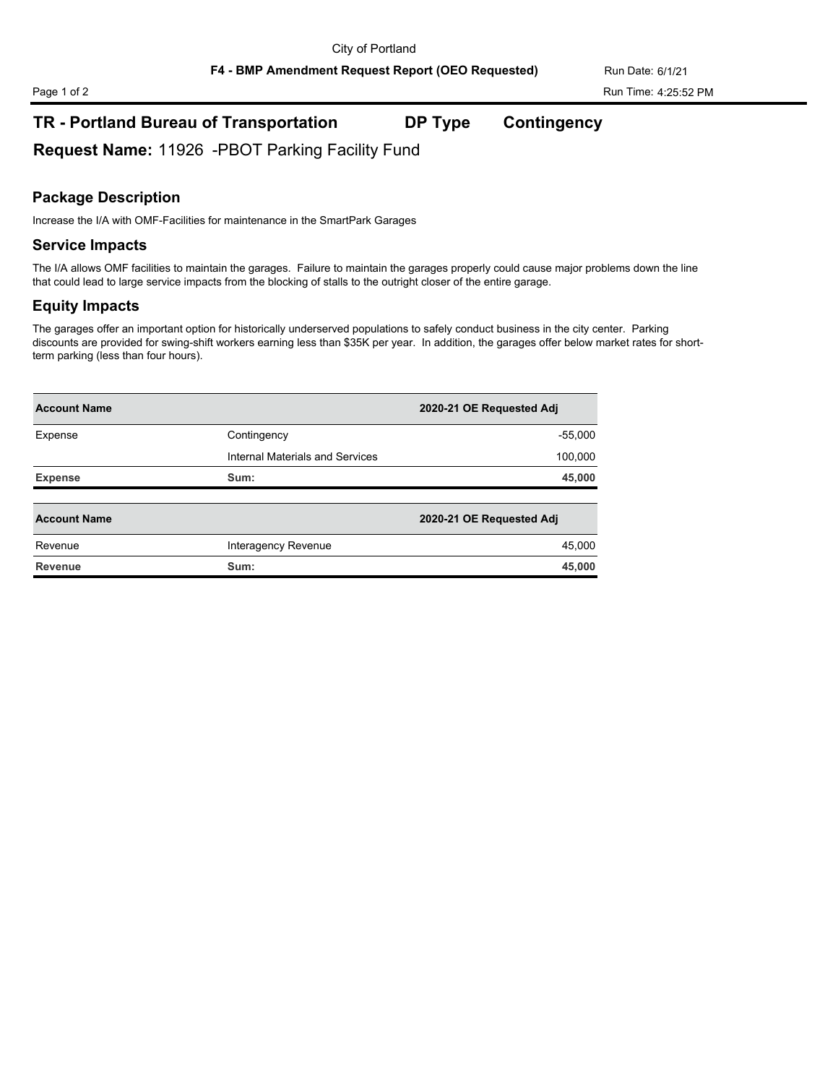**F4 - BMP Amendment Request Report (OEO Requested)** Run Date: 6/1/21

# Page 1 of 2 Run Time: 4:25:52 PM

# **TR - Portland Bureau of Transportation DP Type Contingency**

**Request Name:** 11926 -PBOT Parking Facility Fund

### **Package Description**

Increase the I/A with OMF-Facilities for maintenance in the SmartPark Garages

#### **Service Impacts**

The I/A allows OMF facilities to maintain the garages. Failure to maintain the garages properly could cause major problems down the line that could lead to large service impacts from the blocking of stalls to the outright closer of the entire garage.

#### **Equity Impacts**

The garages offer an important option for historically underserved populations to safely conduct business in the city center. Parking discounts are provided for swing-shift workers earning less than \$35K per year. In addition, the garages offer below market rates for shortterm parking (less than four hours).

| <b>Account Name</b> |                                 | 2020-21 OE Requested Adj |
|---------------------|---------------------------------|--------------------------|
| Expense             | Contingency                     | $-55,000$                |
|                     | Internal Materials and Services | 100,000                  |
| <b>Expense</b>      | Sum:                            | 45,000                   |
| <b>Account Name</b> |                                 |                          |
|                     |                                 | 2020-21 OE Requested Adj |
| Revenue             | Interagency Revenue             | 45,000                   |
|                     |                                 |                          |